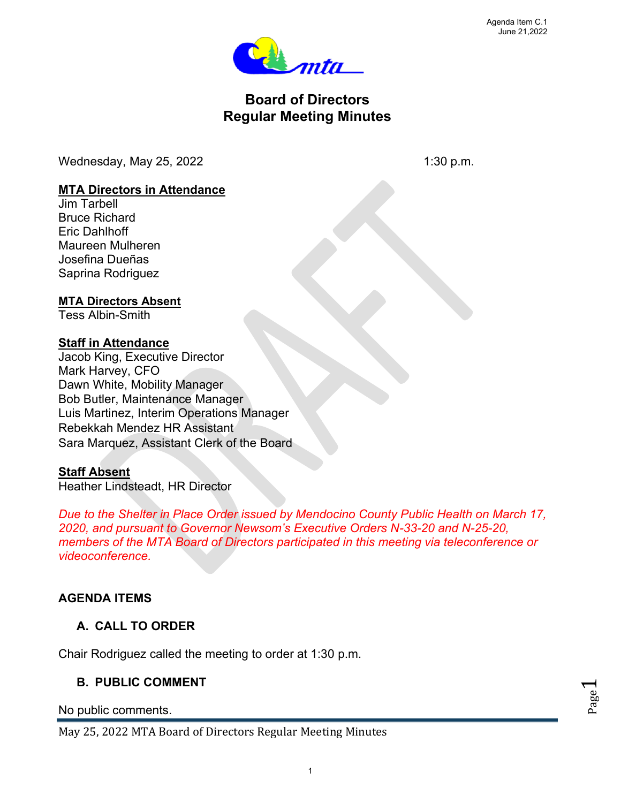Page  $\overline{\phantom{0}}$ 



# **Board of Directors Regular Meeting Minutes**

Wednesday, May  $25$ ,  $2022$  1:30 p.m.

#### **MTA Directors in Attendance**

Jim Tarbell Bruce Richard Eric Dahlhoff Maureen Mulheren Josefina Dueñas Saprina Rodriguez

#### **MTA Directors Absent**

Tess Albin-Smith

#### **Staff in Attendance**

Jacob King, Executive Director Mark Harvey, CFO Dawn White, Mobility Manager Bob Butler, Maintenance Manager Luis Martinez, Interim Operations Manager Rebekkah Mendez HR Assistant Sara Marquez, Assistant Clerk of the Board

### **Staff Absent**

Heather Lindsteadt, HR Director

*Due to the Shelter in Place Order issued by Mendocino County Public Health on March 17, 2020, and pursuant to Governor Newsom's Executive Orders N-33-20 and N-25-20, members of the MTA Board of Directors participated in this meeting via teleconference or videoconference.*

# **AGENDA ITEMS**

# **A. CALL TO ORDER**

Chair Rodriguez called the meeting to order at 1:30 p.m.

### **B. PUBLIC COMMENT**

No public comments.

May 25, 2022 MTA Board of Directors Regular Meeting Minutes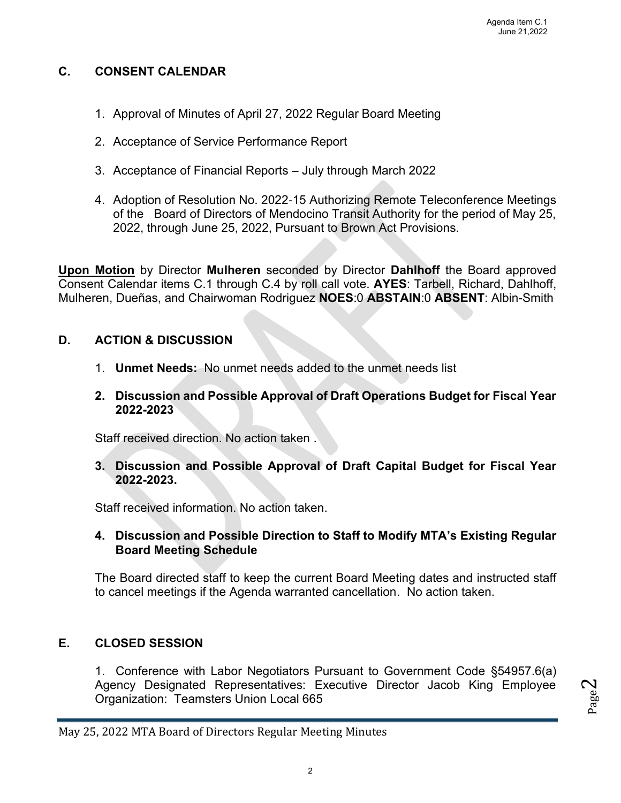#### **C. CONSENT CALENDAR**

- 1. Approval of Minutes of April 27, 2022 Regular Board Meeting
- 2. Acceptance of Service Performance Report
- 3. Acceptance of Financial Reports July through March 2022
- 4. Adoption of Resolution No. 2022‐15 Authorizing Remote Teleconference Meetings of the Board of Directors of Mendocino Transit Authority for the period of May 25, 2022, through June 25, 2022, Pursuant to Brown Act Provisions.

**Upon Motion** by Director **Mulheren** seconded by Director **Dahlhoff** the Board approved Consent Calendar items C.1 through C.4 by roll call vote. **AYES**: Tarbell, Richard, Dahlhoff, Mulheren, Dueñas, and Chairwoman Rodriguez **NOES**:0 **ABSTAIN**:0 **ABSENT**: Albin-Smith

#### **D. ACTION & DISCUSSION**

- 1. **Unmet Needs:** No unmet needs added to the unmet needs list
- **2. Discussion and Possible Approval of Draft Operations Budget for Fiscal Year 2022-2023**

Staff received direction. No action taken .

**3. Discussion and Possible Approval of Draft Capital Budget for Fiscal Year 2022-2023.**

Staff received information. No action taken.

#### **4. Discussion and Possible Direction to Staff to Modify MTA's Existing Regular Board Meeting Schedule**

The Board directed staff to keep the current Board Meeting dates and instructed staff to cancel meetings if the Agenda warranted cancellation. No action taken.

### **E. CLOSED SESSION**

1. Conference with Labor Negotiators Pursuant to Government Code §54957.6(a) Agency Designated Representatives: Executive Director Jacob King Employee Organization: Teamsters Union Local 665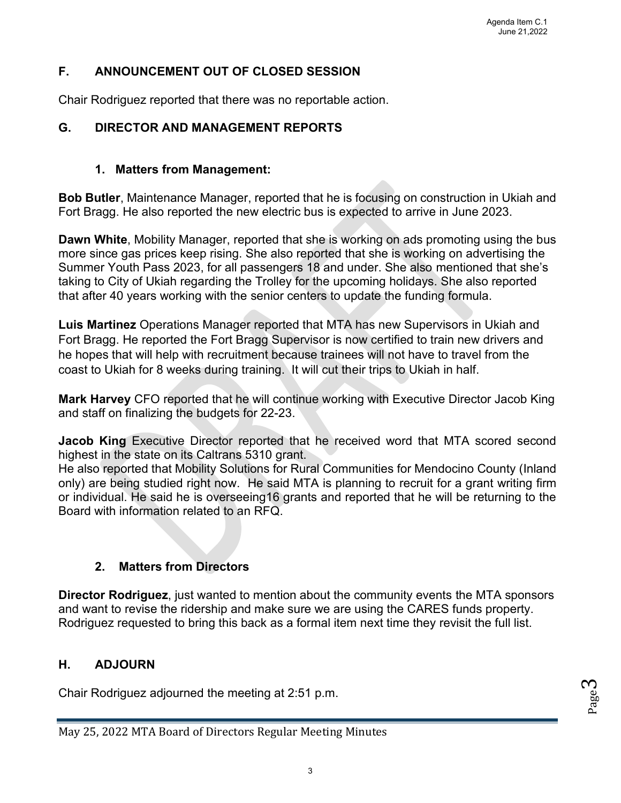### **F. ANNOUNCEMENT OUT OF CLOSED SESSION**

Chair Rodriguez reported that there was no reportable action.

### **G. DIRECTOR AND MANAGEMENT REPORTS**

#### **1. Matters from Management:**

**Bob Butler**, Maintenance Manager, reported that he is focusing on construction in Ukiah and Fort Bragg. He also reported the new electric bus is expected to arrive in June 2023.

**Dawn White**, Mobility Manager, reported that she is working on ads promoting using the bus more since gas prices keep rising. She also reported that she is working on advertising the Summer Youth Pass 2023, for all passengers 18 and under. She also mentioned that she's taking to City of Ukiah regarding the Trolley for the upcoming holidays. She also reported that after 40 years working with the senior centers to update the funding formula.

**Luis Martinez** Operations Manager reported that MTA has new Supervisors in Ukiah and Fort Bragg. He reported the Fort Bragg Supervisor is now certified to train new drivers and he hopes that will help with recruitment because trainees will not have to travel from the coast to Ukiah for 8 weeks during training. It will cut their trips to Ukiah in half.

**Mark Harvey** CFO reported that he will continue working with Executive Director Jacob King and staff on finalizing the budgets for 22-23.

**Jacob King** Executive Director reported that he received word that MTA scored second highest in the state on its Caltrans 5310 grant.

He also reported that Mobility Solutions for Rural Communities for Mendocino County (Inland only) are being studied right now. He said MTA is planning to recruit for a grant writing firm or individual. He said he is overseeing16 grants and reported that he will be returning to the Board with information related to an RFQ.

# **2. Matters from Directors**

**Director Rodriguez**, just wanted to mention about the community events the MTA sponsors and want to revise the ridership and make sure we are using the CARES funds property. Rodriguez requested to bring this back as a formal item next time they revisit the full list.

# **H. ADJOURN**

Chair Rodriguez adjourned the meeting at 2:51 p.m.